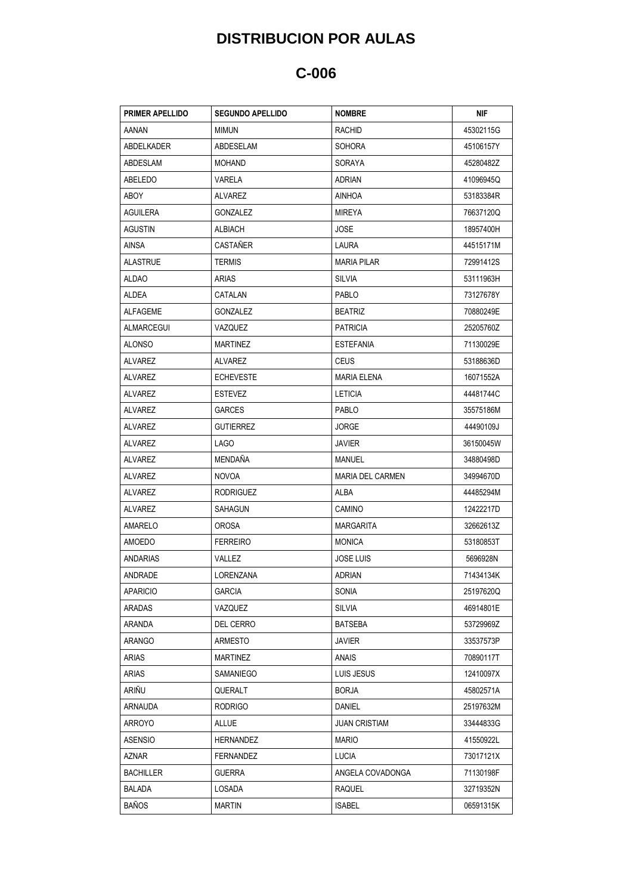## **DISTRIBUCION POR AULAS**

## **C-006**

| <b>PRIMER APELLIDO</b> | <b>SEGUNDO APELLIDO</b> | <b>NOMBRE</b>           | NIF       |
|------------------------|-------------------------|-------------------------|-----------|
| AANAN                  | MIMUN                   | <b>RACHID</b>           | 45302115G |
| ABDELKADER             | ABDESELAM               | SOHORA                  | 45106157Y |
| ABDESLAM               | MOHAND                  | SORAYA                  | 45280482Z |
| ABELEDO                | VARELA                  | <b>ADRIAN</b>           | 41096945Q |
| ABOY                   | ALVAREZ                 | <b>AINHOA</b>           | 53183384R |
| AGUILERA               | <b>GONZALEZ</b>         | <b>MIREYA</b>           | 76637120Q |
| <b>AGUSTIN</b>         | ALBIACH                 | <b>JOSE</b>             | 18957400H |
| AINSA                  | CASTAÑER                | LAURA                   | 44515171M |
| <b>ALASTRUE</b>        | <b>TERMIS</b>           | <b>MARIA PILAR</b>      | 72991412S |
| ALDAO                  | ARIAS                   | SILVIA                  | 53111963H |
| ALDEA                  | CATALAN                 | PABLO                   | 73127678Y |
| ALFAGEME               | GONZALEZ                | <b>BEATRIZ</b>          | 70880249E |
| ALMARCEGUI             | VAZQUEZ                 | <b>PATRICIA</b>         | 25205760Z |
| ALONSO                 | <b>MARTINEZ</b>         | <b>ESTEFANIA</b>        | 71130029E |
| ALVAREZ                | ALVAREZ                 | <b>CEUS</b>             | 53188636D |
| <b>ALVAREZ</b>         | <b>ECHEVESTE</b>        | <b>MARIA ELENA</b>      | 16071552A |
| ALVAREZ                | <b>ESTEVEZ</b>          | <b>LETICIA</b>          | 44481744C |
| ALVAREZ                | <b>GARCES</b>           | PABLO                   | 35575186M |
| ALVAREZ                | <b>GUTIERREZ</b>        | <b>JORGE</b>            | 44490109J |
| ALVAREZ                | <b>LAGO</b>             | <b>JAVIER</b>           | 36150045W |
| <b>ALVAREZ</b>         | <b>MENDAÑA</b>          | MANUEL                  | 34880498D |
| ALVAREZ                | <b>NOVOA</b>            | <b>MARIA DEL CARMEN</b> | 34994670D |
| ALVAREZ                | <b>RODRIGUEZ</b>        | ALBA                    | 44485294M |
| ALVAREZ                | SAHAGUN                 | <b>CAMINO</b>           | 12422217D |
| AMARELO                | <b>OROSA</b>            | MARGARITA               | 32662613Z |
| AMOEDO                 | <b>FERREIRO</b>         | <b>MONICA</b>           | 53180853T |
| ANDARIAS               | VALLEZ                  | JOSE LUIS               | 5696928N  |
| <b>ANDRADE</b>         | LORENZANA               | ADRIAN                  | 71434134K |
| <b>APARICIO</b>        | GARCIA                  | SONIA                   | 25197620Q |
| ARADAS                 | VAZQUEZ                 | <b>SILVIA</b>           | 46914801E |
| ARANDA                 | DEL CERRO               | <b>BATSEBA</b>          | 53729969Z |
| ARANGO                 | ARMESTO                 | JAVIER                  | 33537573P |
| <b>ARIAS</b>           | MARTINEZ                | <b>ANAIS</b>            | 70890117T |
| <b>ARIAS</b>           | SAMANIEGO               | LUIS JESUS              | 12410097X |
| ARIÑU                  | QUERALT                 | <b>BORJA</b>            | 45802571A |
| ARNAUDA                | <b>RODRIGO</b>          | DANIEL                  | 25197632M |
| ARROYO                 | ALLUE                   | <b>JUAN CRISTIAM</b>    | 33444833G |
| ASENSIO                | HERNANDEZ               | <b>MARIO</b>            | 41550922L |
| AZNAR                  | FERNANDEZ               | LUCIA                   | 73017121X |
| <b>BACHILLER</b>       | <b>GUERRA</b>           | ANGELA COVADONGA        | 71130198F |
| BALADA                 | LOSADA                  | RAQUEL                  | 32719352N |
| <b>BAÑOS</b>           | <b>MARTIN</b>           | <b>ISABEL</b>           | 06591315K |